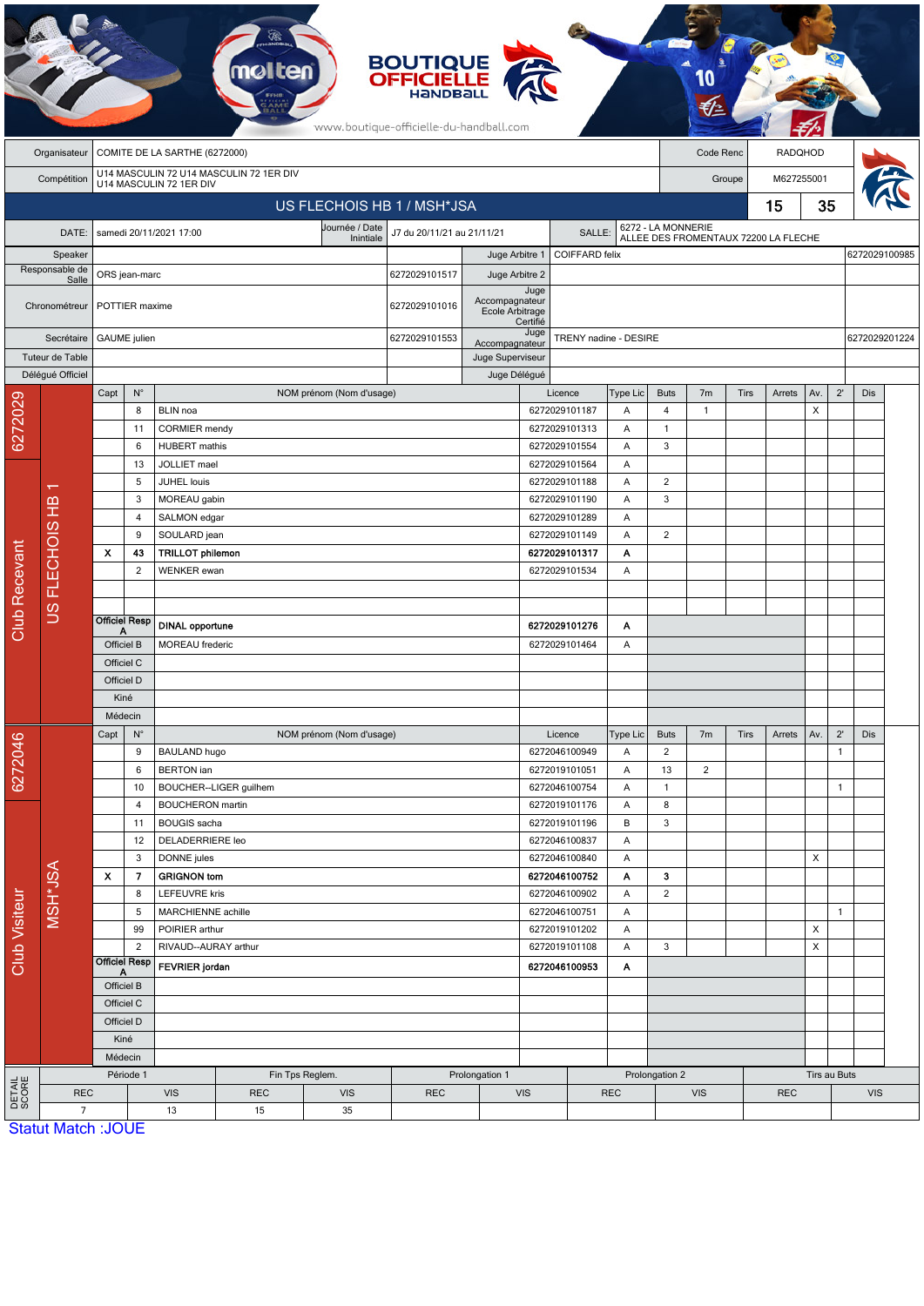|                        |                           |                                                       |                              |                                             | <b>molten</b> |                                                    | <b>BOUTIQUE</b><br><b>OFFICIELLE</b><br><b>HANDBALL</b><br>www.boutique-officielle-du-handball.com |                          |                                         |                                |                 |                             |                |             |                                      |               |              |               |  |
|------------------------|---------------------------|-------------------------------------------------------|------------------------------|---------------------------------------------|---------------|----------------------------------------------------|----------------------------------------------------------------------------------------------------|--------------------------|-----------------------------------------|--------------------------------|-----------------|-----------------------------|----------------|-------------|--------------------------------------|---------------|--------------|---------------|--|
|                        | Organisateur              | COMITE DE LA SARTHE (6272000)                         |                              |                                             |               |                                                    |                                                                                                    |                          |                                         |                                |                 | Code Renc<br><b>RADQHOD</b> |                |             |                                      |               |              |               |  |
|                        | Compétition               | U14 MASCULIN 72 U14 MASCULIN 72 1ER DIV               |                              |                                             |               |                                                    |                                                                                                    |                          |                                         |                                |                 | Groupe                      |                |             |                                      | M627255001    |              |               |  |
|                        |                           | U14 MASCULIN 72 1ER DIV<br>US FLECHOIS HB 1 / MSH*JSA |                              |                                             |               |                                                    |                                                                                                    |                          |                                         |                                |                 |                             |                | 15          |                                      |               | 35           |               |  |
|                        |                           | Journée / Date<br>samedi 20/11/2021 17:00             |                              |                                             |               |                                                    | J7 du 20/11/21 au 21/11/21                                                                         |                          |                                         | SALLE:                         |                 | 6272 - LA MONNERIE          |                |             |                                      |               |              |               |  |
| DATE:<br>Speaker       |                           |                                                       |                              |                                             |               | Inintiale                                          |                                                                                                    |                          | <b>COIFFARD felix</b><br>Juge Arbitre 1 |                                |                 |                             |                |             | ALLEE DES FROMENTAUX 72200 LA FLECHE |               |              | 6272029100985 |  |
| Responsable de         |                           | ORS jean-marc                                         |                              |                                             |               |                                                    | 6272029101517<br>Juge Arbitre 2                                                                    |                          |                                         |                                |                 |                             |                |             |                                      |               |              |               |  |
| Salle<br>Chronométreur |                           |                                                       | POTTIER maxime               |                                             |               | Accompagnateur<br>6272029101016<br>Ecole Arbitrage |                                                                                                    |                          | Juge<br>Certifié                        |                                |                 |                             |                |             |                                      |               |              |               |  |
| Secrétaire             |                           |                                                       | <b>GAUME</b> julien          |                                             |               |                                                    | 6272029101553                                                                                      | Accompagnateur           | Juge                                    | TRENY nadine - DESIRE          |                 |                             |                |             |                                      | 6272029201224 |              |               |  |
| Tuteur de Table        |                           |                                                       |                              |                                             |               |                                                    |                                                                                                    | Juge Superviseur         |                                         |                                |                 |                             |                |             |                                      |               |              |               |  |
|                        | Délégué Officiel          |                                                       |                              |                                             |               |                                                    |                                                                                                    | Juge Délégué             |                                         |                                |                 |                             |                |             |                                      |               |              |               |  |
|                        |                           | Capt                                                  | $\mathsf{N}^\circ$           |                                             |               | NOM prénom (Nom d'usage)                           |                                                                                                    |                          |                                         | Licence                        | Type Lic        | <b>Buts</b>                 | 7 <sub>m</sub> | <b>Tirs</b> | Arrets                               | Av.           | $2^{\prime}$ | Dis           |  |
| 6272029                |                           |                                                       | 8<br>11                      | BLIN noa<br><b>CORMIER</b> mendy            |               |                                                    |                                                                                                    |                          |                                         | 6272029101187<br>6272029101313 | Α<br>Α          | 4<br>$\mathbf{1}$           | $\mathbf{1}$   |             |                                      | X             |              |               |  |
|                        |                           |                                                       | 6                            | <b>HUBERT</b> mathis                        |               |                                                    |                                                                                                    |                          |                                         | 6272029101554                  | Α               | 3                           |                |             |                                      |               |              |               |  |
|                        |                           |                                                       | 13                           | JOLLIET mael<br>JUHEL louis<br>MOREAU gabin |               |                                                    |                                                                                                    | 6272029101564            |                                         | Α                              |                 |                             |                |             |                                      |               |              |               |  |
|                        | ᠇                         |                                                       | 5                            |                                             |               |                                                    |                                                                                                    |                          |                                         | 6272029101188<br>Α             |                 | $\overline{2}$              |                |             |                                      |               |              |               |  |
|                        | $\frac{1}{2}$             |                                                       | 3                            |                                             |               |                                                    |                                                                                                    |                          |                                         | 6272029101190                  | Α               | 3                           |                |             |                                      |               |              |               |  |
|                        |                           |                                                       | 4                            | SALMON edgar                                |               |                                                    |                                                                                                    |                          |                                         | Α                              |                 |                             |                |             |                                      |               |              |               |  |
|                        | <b>FLECHOIS</b><br>SC     |                                                       | 9                            | SOULARD jean                                |               |                                                    |                                                                                                    | 6272029101149            | Α                                       | 2                              |                 |                             |                |             |                                      |               |              |               |  |
|                        |                           | $\boldsymbol{\mathsf{x}}$                             | 43                           | <b>TRILLOT philemon</b>                     |               |                                                    |                                                                                                    |                          | 6272029101317                           |                                | Α               |                             |                |             |                                      |               |              |               |  |
|                        |                           |                                                       | 2                            | <b>WENKER</b> ewan                          |               |                                                    |                                                                                                    |                          |                                         | 6272029101534                  | Α               |                             |                |             |                                      |               |              |               |  |
| <b>Club Recevant</b>   |                           |                                                       | <b>Officiel Resp</b><br>А    | <b>DINAL opportune</b>                      |               |                                                    |                                                                                                    |                          |                                         | 6272029101276                  | Α               |                             |                |             |                                      |               |              |               |  |
|                        |                           | Officiel B                                            |                              | MOREAU frederic                             |               |                                                    |                                                                                                    |                          | 6272029101464<br>Α                      |                                |                 |                             |                |             |                                      |               |              |               |  |
|                        |                           | Officiel C<br>Officiel D                              |                              |                                             |               |                                                    |                                                                                                    |                          |                                         |                                |                 |                             |                |             |                                      |               |              |               |  |
|                        |                           | Kiné                                                  |                              |                                             |               |                                                    |                                                                                                    |                          |                                         |                                |                 |                             |                |             |                                      |               |              |               |  |
|                        |                           | Médecin                                               |                              |                                             |               |                                                    |                                                                                                    |                          |                                         |                                |                 |                             |                |             |                                      |               |              |               |  |
|                        |                           | Capt<br>$N^{\circ}$                                   |                              | NOM prénom (Nom d'usage)                    |               |                                                    |                                                                                                    |                          | Licence                                 |                                | <b>Type Lic</b> | <b>Buts</b>                 | 7 <sub>m</sub> | Tirs        | Arrets                               | Av.           | $2^{\prime}$ | Dis           |  |
| 6272046                |                           | 9                                                     |                              | <b>BAULAND hugo</b>                         |               |                                                    |                                                                                                    |                          |                                         | 6272046100949                  |                 | 2                           |                |             |                                      |               | $\mathbf{1}$ |               |  |
|                        |                           |                                                       | 6                            | <b>BERTON</b> ian                           |               |                                                    |                                                                                                    |                          | 6272019101051<br>Α                      |                                |                 | 13                          | $\overline{2}$ |             |                                      |               |              |               |  |
|                        |                           |                                                       | 10                           | BOUCHER--LIGER guilhem                      |               |                                                    |                                                                                                    |                          |                                         | 6272046100754                  | Α               | $\mathbf{1}$                |                |             |                                      |               | $\mathbf{1}$ |               |  |
|                        |                           |                                                       | 4                            | <b>BOUCHERON</b> martin                     |               |                                                    |                                                                                                    |                          |                                         | 6272019101176                  | Α<br>В          | 8                           |                |             |                                      |               |              |               |  |
|                        |                           |                                                       | 11                           | <b>BOUGIS</b> sacha                         |               |                                                    |                                                                                                    |                          |                                         | 6272019101196                  |                 | $\sqrt{3}$                  |                |             |                                      |               |              |               |  |
|                        |                           |                                                       | 12<br>3                      | <b>DELADERRIERE leo</b><br>DONNE jules      |               |                                                    |                                                                                                    |                          |                                         | 6272046100837<br>6272046100840 | Α<br>Α          |                             |                |             |                                      | Χ             |              |               |  |
|                        |                           | $\boldsymbol{\mathsf{x}}$                             | 7                            | <b>GRIGNON tom</b>                          |               |                                                    |                                                                                                    |                          |                                         | 6272046100752                  | Α               | 3                           |                |             |                                      |               |              |               |  |
| Club Visiteur          | MSH*JSA                   |                                                       | 8                            | <b>LEFEUVRE kris</b>                        |               |                                                    |                                                                                                    |                          | 6272046100902                           |                                | Α               | $\overline{2}$              |                |             |                                      |               |              |               |  |
|                        |                           |                                                       | 5                            | MARCHIENNE achille                          |               |                                                    |                                                                                                    |                          |                                         | 6272046100751                  | Α               |                             |                |             |                                      |               | $\mathbf{1}$ |               |  |
|                        |                           |                                                       | 99                           | POIRIER arthur                              |               |                                                    |                                                                                                    |                          |                                         | 6272019101202                  | Α               |                             |                |             |                                      | Х             |              |               |  |
|                        |                           |                                                       | 2                            | RIVAUD--AURAY arthur                        |               |                                                    |                                                                                                    |                          |                                         | 6272019101108                  | Α               | 3                           |                |             |                                      | X             |              |               |  |
|                        |                           | <b>Officiel Resp</b><br>А                             |                              | FEVRIER jordan                              |               |                                                    |                                                                                                    |                          | 6272046100953<br>Α                      |                                |                 |                             |                |             |                                      |               |              |               |  |
|                        |                           | Officiel B                                            |                              |                                             |               |                                                    |                                                                                                    |                          |                                         |                                |                 |                             |                |             |                                      |               |              |               |  |
|                        |                           |                                                       | Officiel C                   |                                             |               |                                                    |                                                                                                    |                          |                                         |                                |                 |                             |                |             |                                      |               |              |               |  |
|                        |                           |                                                       | Officiel D                   |                                             |               |                                                    |                                                                                                    |                          |                                         |                                |                 |                             |                |             |                                      |               |              |               |  |
|                        |                           |                                                       | Kiné<br>Médecin              |                                             |               |                                                    |                                                                                                    |                          |                                         |                                |                 |                             |                |             |                                      |               |              |               |  |
|                        |                           |                                                       | Période 1<br>Fin Tps Reglem. |                                             |               |                                                    | Prolongation 1                                                                                     | Prolongation 2           |                                         |                                |                 |                             |                |             | Tirs au Buts                         |               |              |               |  |
| DETAIL<br>SCORE        | <b>REC</b>                |                                                       |                              | <b>VIS</b><br><b>REC</b><br><b>VIS</b>      |               |                                                    | <b>REC</b>                                                                                         | <b>VIS</b><br><b>REC</b> |                                         |                                |                 | <b>VIS</b>                  |                |             | <b>REC</b>                           |               |              | <b>VIS</b>    |  |
|                        | $\overline{7}$            |                                                       |                              | 13                                          | 15            | 35                                                 |                                                                                                    |                          |                                         |                                |                 |                             |                |             |                                      |               |              |               |  |
|                        | <b>Statut Match: JOUE</b> |                                                       |                              |                                             |               |                                                    |                                                                                                    |                          |                                         |                                |                 |                             |                |             |                                      |               |              |               |  |

 $E$ .